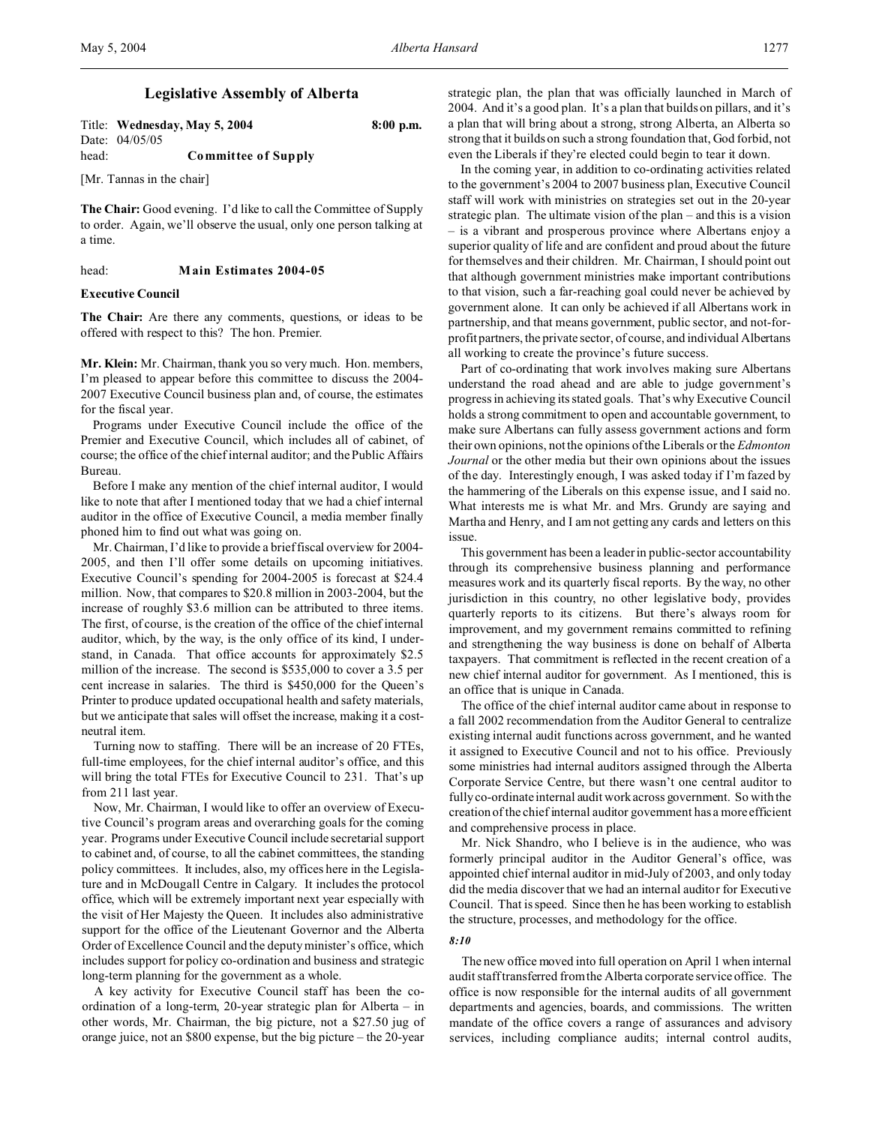# **Legislative Assembly of Alberta**

Title: **Wednesday, May 5, 2004 8:00 p.m.** Date: 04/05/05 head: **Committee of Supply**

[Mr. Tannas in the chair]

**The Chair:** Good evening. I'd like to call the Committee of Supply to order. Again, we'll observe the usual, only one person talking at a time.

head: **Main Estimates 2004-05**

### **Executive Council**

**The Chair:** Are there any comments, questions, or ideas to be offered with respect to this? The hon. Premier.

**Mr. Klein:** Mr. Chairman, thank you so very much. Hon. members, I'm pleased to appear before this committee to discuss the 2004- 2007 Executive Council business plan and, of course, the estimates for the fiscal year.

Programs under Executive Council include the office of the Premier and Executive Council, which includes all of cabinet, of course; the office of the chief internal auditor; and the Public Affairs Bureau.

Before I make any mention of the chief internal auditor, I would like to note that after I mentioned today that we had a chief internal auditor in the office of Executive Council, a media member finally phoned him to find out what was going on.

Mr. Chairman, I'd like to provide a brief fiscal overview for 2004- 2005, and then I'll offer some details on upcoming initiatives. Executive Council's spending for 2004-2005 is forecast at \$24.4 million. Now, that compares to \$20.8 million in 2003-2004, but the increase of roughly \$3.6 million can be attributed to three items. The first, of course, is the creation of the office of the chief internal auditor, which, by the way, is the only office of its kind, I understand, in Canada. That office accounts for approximately \$2.5 million of the increase. The second is \$535,000 to cover a 3.5 per cent increase in salaries. The third is \$450,000 for the Queen's Printer to produce updated occupational health and safety materials, but we anticipate that sales will offset the increase, making it a costneutral item.

Turning now to staffing. There will be an increase of 20 FTEs, full-time employees, for the chief internal auditor's office, and this will bring the total FTEs for Executive Council to 231. That's up from 211 last year.

Now, Mr. Chairman, I would like to offer an overview of Executive Council's program areas and overarching goals for the coming year. Programs under Executive Council include secretarial support to cabinet and, of course, to all the cabinet committees, the standing policy committees. It includes, also, my offices here in the Legislature and in McDougall Centre in Calgary. It includes the protocol office, which will be extremely important next year especially with the visit of Her Majesty the Queen. It includes also administrative support for the office of the Lieutenant Governor and the Alberta Order of Excellence Council and the deputy minister's office, which includes support for policy co-ordination and business and strategic long-term planning for the government as a whole.

A key activity for Executive Council staff has been the coordination of a long-term, 20-year strategic plan for Alberta – in other words, Mr. Chairman, the big picture, not a \$27.50 jug of orange juice, not an \$800 expense, but the big picture – the 20-year

strategic plan, the plan that was officially launched in March of 2004. And it's a good plan. It's a plan that builds on pillars, and it's a plan that will bring about a strong, strong Alberta, an Alberta so strong that it builds on such a strong foundation that, God forbid, not even the Liberals if they're elected could begin to tear it down.

In the coming year, in addition to co-ordinating activities related to the government's 2004 to 2007 business plan, Executive Council staff will work with ministries on strategies set out in the 20-year strategic plan. The ultimate vision of the plan – and this is a vision – is a vibrant and prosperous province where Albertans enjoy a superior quality of life and are confident and proud about the future for themselves and their children. Mr. Chairman, I should point out that although government ministries make important contributions to that vision, such a far-reaching goal could never be achieved by government alone. It can only be achieved if all Albertans work in partnership, and that means government, public sector, and not-forprofit partners, the private sector, of course, and individual Albertans all working to create the province's future success.

Part of co-ordinating that work involves making sure Albertans understand the road ahead and are able to judge government's progress in achieving its stated goals. That's why Executive Council holds a strong commitment to open and accountable government, to make sure Albertans can fully assess government actions and form their own opinions, not the opinions of the Liberals or the *Edmonton Journal* or the other media but their own opinions about the issues of the day. Interestingly enough, I was asked today if I'm fazed by the hammering of the Liberals on this expense issue, and I said no. What interests me is what Mr. and Mrs. Grundy are saying and Martha and Henry, and I am not getting any cards and letters on this issue.

This government has been a leader in public-sector accountability through its comprehensive business planning and performance measures work and its quarterly fiscal reports. By the way, no other jurisdiction in this country, no other legislative body, provides quarterly reports to its citizens. But there's always room for improvement, and my government remains committed to refining and strengthening the way business is done on behalf of Alberta taxpayers. That commitment is reflected in the recent creation of a new chief internal auditor for government. As I mentioned, this is an office that is unique in Canada.

The office of the chief internal auditor came about in response to a fall 2002 recommendation from the Auditor General to centralize existing internal audit functions across government, and he wanted it assigned to Executive Council and not to his office. Previously some ministries had internal auditors assigned through the Alberta Corporate Service Centre, but there wasn't one central auditor to fully co-ordinate internal audit work across government. So with the creation of the chief internal auditor government has a more efficient and comprehensive process in place.

Mr. Nick Shandro, who I believe is in the audience, who was formerly principal auditor in the Auditor General's office, was appointed chief internal auditor in mid-July of 2003, and only today did the media discover that we had an internal auditor for Executive Council. That is speed. Since then he has been working to establish the structure, processes, and methodology for the office.

#### *8:10*

The new office moved into full operation on April 1 when internal audit staff transferred from the Alberta corporate service office. The office is now responsible for the internal audits of all government departments and agencies, boards, and commissions. The written mandate of the office covers a range of assurances and advisory services, including compliance audits; internal control audits,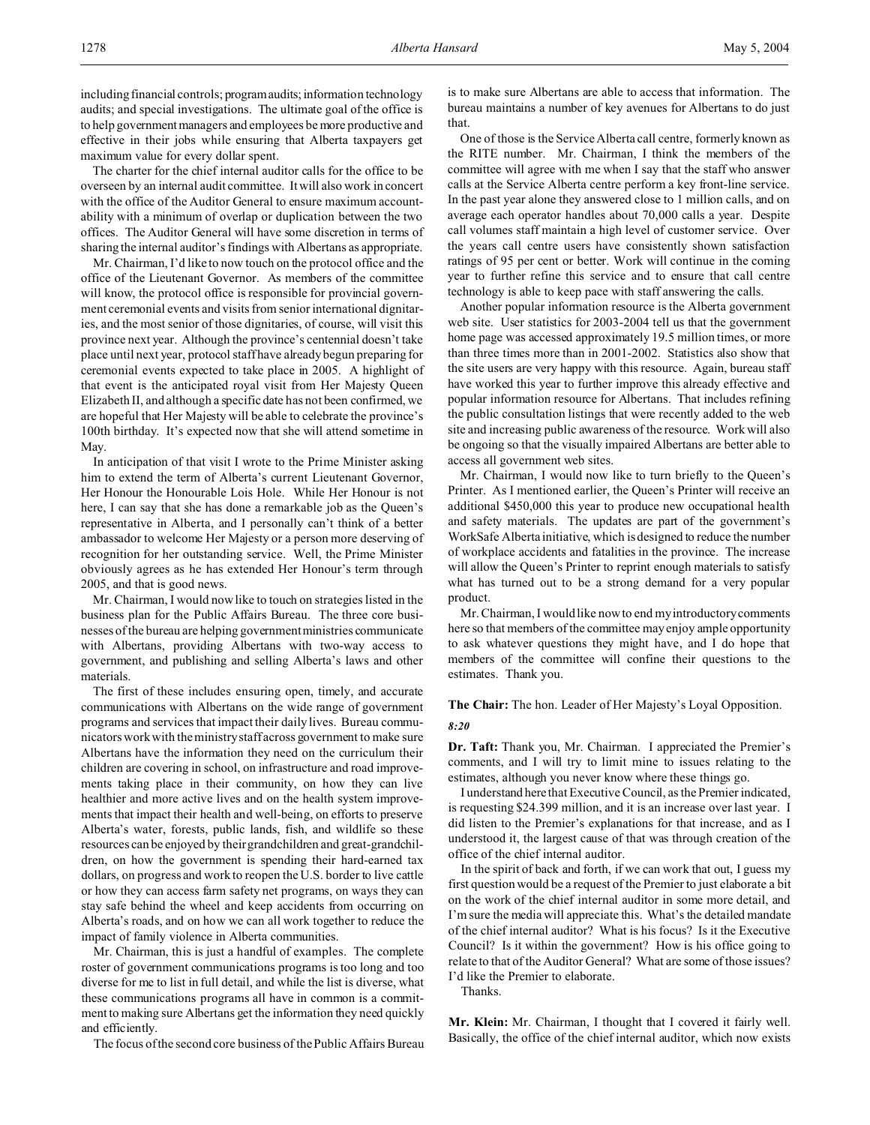including financial controls; programaudits; information technology audits; and special investigations. The ultimate goal of the office is to help government managers and employees be more productive and effective in their jobs while ensuring that Alberta taxpayers get maximum value for every dollar spent.

The charter for the chief internal auditor calls for the office to be overseen by an internal audit committee. It will also work in concert with the office of the Auditor General to ensure maximum accountability with a minimum of overlap or duplication between the two offices. The Auditor General will have some discretion in terms of sharing the internal auditor's findings with Albertans as appropriate.

Mr. Chairman, I'd like to now touch on the protocol office and the office of the Lieutenant Governor. As members of the committee will know, the protocol office is responsible for provincial government ceremonial events and visits from senior international dignitaries, and the most senior of those dignitaries, of course, will visit this province next year. Although the province's centennial doesn't take place until next year, protocol staff have already begun preparing for ceremonial events expected to take place in 2005. A highlight of that event is the anticipated royal visit from Her Majesty Queen Elizabeth II, and although a specific date has not been confirmed, we are hopeful that Her Majesty will be able to celebrate the province's 100th birthday. It's expected now that she will attend sometime in May.

In anticipation of that visit I wrote to the Prime Minister asking him to extend the term of Alberta's current Lieutenant Governor, Her Honour the Honourable Lois Hole. While Her Honour is not here, I can say that she has done a remarkable job as the Queen's representative in Alberta, and I personally can't think of a better ambassador to welcome Her Majesty or a person more deserving of recognition for her outstanding service. Well, the Prime Minister obviously agrees as he has extended Her Honour's term through 2005, and that is good news.

Mr. Chairman, I would now like to touch on strategies listed in the business plan for the Public Affairs Bureau. The three core businesses of the bureau are helping government ministries communicate with Albertans, providing Albertans with two-way access to government, and publishing and selling Alberta's laws and other materials.

The first of these includes ensuring open, timely, and accurate communications with Albertans on the wide range of government programs and services that impact their daily lives. Bureau communicators work with the ministry staff across government to make sure Albertans have the information they need on the curriculum their children are covering in school, on infrastructure and road improvements taking place in their community, on how they can live healthier and more active lives and on the health system improvements that impact their health and well-being, on efforts to preserve Alberta's water, forests, public lands, fish, and wildlife so these resources can be enjoyed by their grandchildren and great-grandchildren, on how the government is spending their hard-earned tax dollars, on progress and work to reopen the U.S. border to live cattle or how they can access farm safety net programs, on ways they can stay safe behind the wheel and keep accidents from occurring on Alberta's roads, and on how we can all work together to reduce the impact of family violence in Alberta communities.

Mr. Chairman, this is just a handful of examples. The complete roster of government communications programs is too long and too diverse for me to list in full detail, and while the list is diverse, what these communications programs all have in common is a commitment to making sure Albertans get the information they need quickly and efficiently.

The focus of the second core business of the Public Affairs Bureau

is to make sure Albertans are able to access that information. The bureau maintains a number of key avenues for Albertans to do just that.

One of those is the Service Alberta call centre, formerly known as the RITE number. Mr. Chairman, I think the members of the committee will agree with me when I say that the staff who answer calls at the Service Alberta centre perform a key front-line service. In the past year alone they answered close to 1 million calls, and on average each operator handles about 70,000 calls a year. Despite call volumes staff maintain a high level of customer service. Over the years call centre users have consistently shown satisfaction ratings of 95 per cent or better. Work will continue in the coming year to further refine this service and to ensure that call centre technology is able to keep pace with staff answering the calls.

Another popular information resource is the Alberta government web site. User statistics for 2003-2004 tell us that the government home page was accessed approximately 19.5 million times, or more than three times more than in 2001-2002. Statistics also show that the site users are very happy with this resource. Again, bureau staff have worked this year to further improve this already effective and popular information resource for Albertans. That includes refining the public consultation listings that were recently added to the web site and increasing public awareness of the resource. Work will also be ongoing so that the visually impaired Albertans are better able to access all government web sites.

Mr. Chairman, I would now like to turn briefly to the Queen's Printer. As I mentioned earlier, the Queen's Printer will receive an additional \$450,000 this year to produce new occupational health and safety materials. The updates are part of the government's WorkSafe Alberta initiative, which is designed to reduce the number of workplace accidents and fatalities in the province. The increase will allow the Queen's Printer to reprint enough materials to satisfy what has turned out to be a strong demand for a very popular product.

Mr. Chairman, I would like now to end my introductory comments here so that members of the committee may enjoy ample opportunity to ask whatever questions they might have, and I do hope that members of the committee will confine their questions to the estimates. Thank you.

# **The Chair:** The hon. Leader of Her Majesty's Loyal Opposition. *8:20*

**Dr. Taft:** Thank you, Mr. Chairman. I appreciated the Premier's comments, and I will try to limit mine to issues relating to the estimates, although you never know where these things go.

I understand here that Executive Council, as the Premier indicated, is requesting \$24.399 million, and it is an increase over last year. I did listen to the Premier's explanations for that increase, and as I understood it, the largest cause of that was through creation of the office of the chief internal auditor.

In the spirit of back and forth, if we can work that out, I guess my first question would be a request of the Premier to just elaborate a bit on the work of the chief internal auditor in some more detail, and I'm sure the media will appreciate this. What's the detailed mandate of the chief internal auditor? What is his focus? Is it the Executive Council? Is it within the government? How is his office going to relate to that of the Auditor General? What are some of those issues? I'd like the Premier to elaborate.

Thanks.

**Mr. Klein:** Mr. Chairman, I thought that I covered it fairly well. Basically, the office of the chief internal auditor, which now exists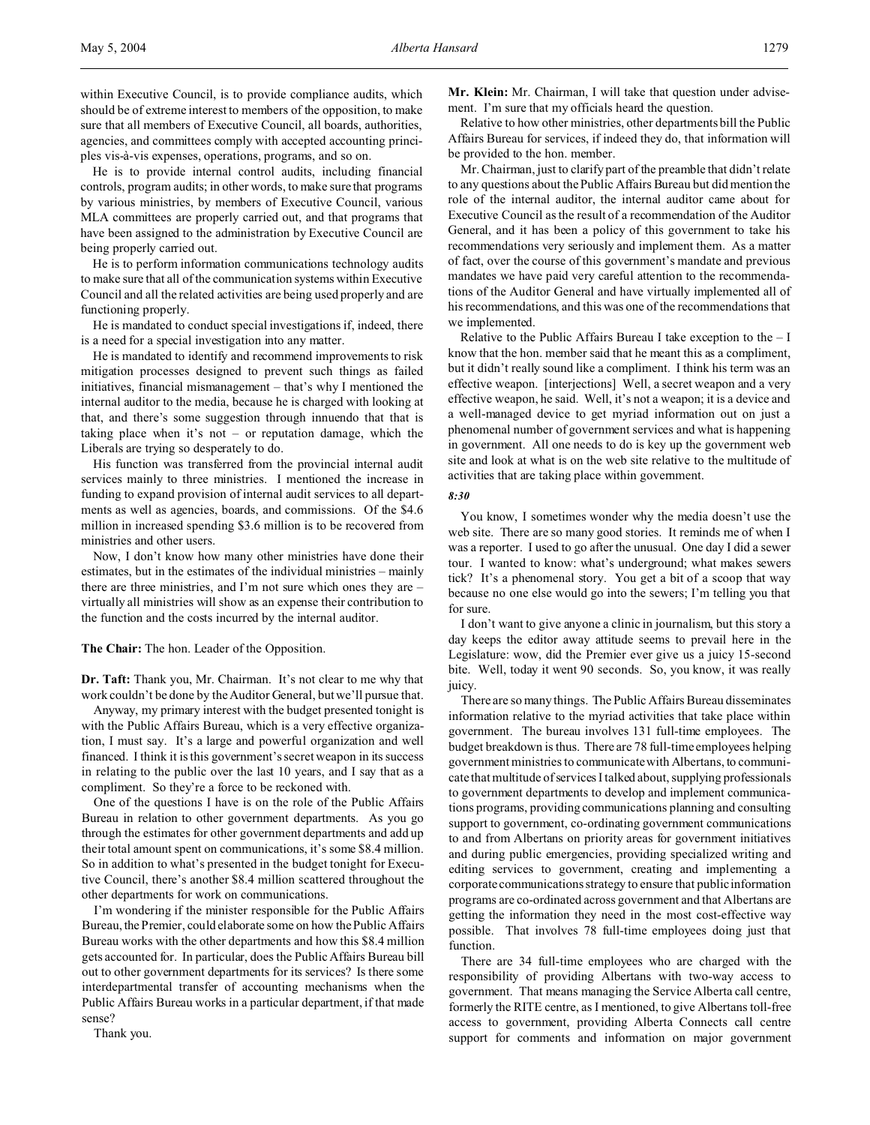within Executive Council, is to provide compliance audits, which should be of extreme interest to members of the opposition, to make sure that all members of Executive Council, all boards, authorities, agencies, and committees comply with accepted accounting principles vis-à-vis expenses, operations, programs, and so on.

He is to provide internal control audits, including financial controls, program audits; in other words, to make sure that programs by various ministries, by members of Executive Council, various MLA committees are properly carried out, and that programs that have been assigned to the administration by Executive Council are being properly carried out.

He is to perform information communications technology audits to make sure that all of the communication systems within Executive Council and all the related activities are being used properly and are functioning properly.

He is mandated to conduct special investigations if, indeed, there is a need for a special investigation into any matter.

He is mandated to identify and recommend improvements to risk mitigation processes designed to prevent such things as failed initiatives, financial mismanagement – that's why I mentioned the internal auditor to the media, because he is charged with looking at that, and there's some suggestion through innuendo that that is taking place when it's not – or reputation damage, which the Liberals are trying so desperately to do.

His function was transferred from the provincial internal audit services mainly to three ministries. I mentioned the increase in funding to expand provision of internal audit services to all departments as well as agencies, boards, and commissions. Of the \$4.6 million in increased spending \$3.6 million is to be recovered from ministries and other users.

Now, I don't know how many other ministries have done their estimates, but in the estimates of the individual ministries – mainly there are three ministries, and I'm not sure which ones they are – virtually all ministries will show as an expense their contribution to the function and the costs incurred by the internal auditor.

**The Chair:** The hon. Leader of the Opposition.

**Dr. Taft:** Thank you, Mr. Chairman. It's not clear to me why that work couldn't be done by the Auditor General, but we'll pursue that.

Anyway, my primary interest with the budget presented tonight is with the Public Affairs Bureau, which is a very effective organization, I must say. It's a large and powerful organization and well financed. I think it is this government's secret weapon in its success in relating to the public over the last 10 years, and I say that as a compliment. So they're a force to be reckoned with.

One of the questions I have is on the role of the Public Affairs Bureau in relation to other government departments. As you go through the estimates for other government departments and add up their total amount spent on communications, it's some \$8.4 million. So in addition to what's presented in the budget tonight for Executive Council, there's another \$8.4 million scattered throughout the other departments for work on communications.

I'm wondering if the minister responsible for the Public Affairs Bureau, the Premier, could elaborate some on how the Public Affairs Bureau works with the other departments and how this \$8.4 million gets accounted for. In particular, does the Public Affairs Bureau bill out to other government departments for its services? Is there some interdepartmental transfer of accounting mechanisms when the Public Affairs Bureau works in a particular department, if that made sense?

Thank you.

**Mr. Klein:** Mr. Chairman, I will take that question under advisement. I'm sure that my officials heard the question.

Relative to how other ministries, other departments bill the Public Affairs Bureau for services, if indeed they do, that information will be provided to the hon. member.

Mr. Chairman, just to clarify part of the preamble that didn't relate to any questions about the Public Affairs Bureau but did mention the role of the internal auditor, the internal auditor came about for Executive Council as the result of a recommendation of the Auditor General, and it has been a policy of this government to take his recommendations very seriously and implement them. As a matter of fact, over the course of this government's mandate and previous mandates we have paid very careful attention to the recommendations of the Auditor General and have virtually implemented all of his recommendations, and this was one of the recommendations that we implemented.

Relative to the Public Affairs Bureau I take exception to the  $-1$ know that the hon. member said that he meant this as a compliment, but it didn't really sound like a compliment. I think his term was an effective weapon. [interjections] Well, a secret weapon and a very effective weapon, he said. Well, it's not a weapon; it is a device and a well-managed device to get myriad information out on just a phenomenal number of government services and what is happening in government. All one needs to do is key up the government web site and look at what is on the web site relative to the multitude of activities that are taking place within government.

#### *8:30*

You know, I sometimes wonder why the media doesn't use the web site. There are so many good stories. It reminds me of when I was a reporter. I used to go after the unusual. One day I did a sewer tour. I wanted to know: what's underground; what makes sewers tick? It's a phenomenal story. You get a bit of a scoop that way because no one else would go into the sewers; I'm telling you that for sure.

I don't want to give anyone a clinic in journalism, but this story a day keeps the editor away attitude seems to prevail here in the Legislature: wow, did the Premier ever give us a juicy 15-second bite. Well, today it went 90 seconds. So, you know, it was really juicy.

There are so many things. The Public Affairs Bureau disseminates information relative to the myriad activities that take place within government. The bureau involves 131 full-time employees. The budget breakdown is thus. There are 78 full-time employees helping government ministries to communicate with Albertans, to communicate that multitude of services I talked about, supplying professionals to government departments to develop and implement communications programs, providing communications planning and consulting support to government, co-ordinating government communications to and from Albertans on priority areas for government initiatives and during public emergencies, providing specialized writing and editing services to government, creating and implementing a corporate communications strategy to ensure that public information programs are co-ordinated across government and that Albertans are getting the information they need in the most cost-effective way possible. That involves 78 full-time employees doing just that function.

There are 34 full-time employees who are charged with the responsibility of providing Albertans with two-way access to government. That means managing the Service Alberta call centre, formerly the RITE centre, as I mentioned, to give Albertans toll-free access to government, providing Alberta Connects call centre support for comments and information on major government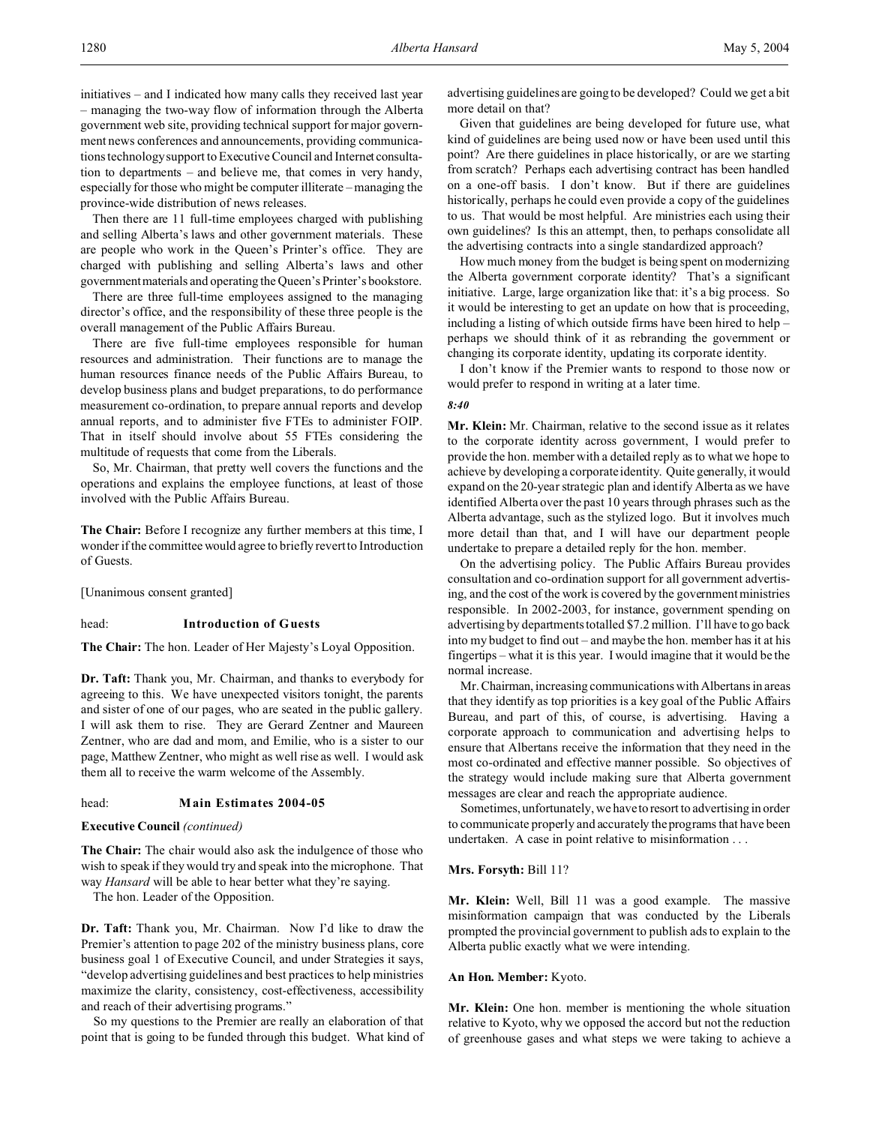initiatives – and I indicated how many calls they received last year – managing the two-way flow of information through the Alberta government web site, providing technical support for major government news conferences and announcements, providing communications technology support to Executive Council and Internet consultation to departments – and believe me, that comes in very handy, especially for those who might be computer illiterate – managing the province-wide distribution of news releases.

Then there are 11 full-time employees charged with publishing and selling Alberta's laws and other government materials. These are people who work in the Queen's Printer's office. They are charged with publishing and selling Alberta's laws and other governmentmaterials and operating the Queen's Printer's bookstore.

There are three full-time employees assigned to the managing director's office, and the responsibility of these three people is the overall management of the Public Affairs Bureau.

There are five full-time employees responsible for human resources and administration. Their functions are to manage the human resources finance needs of the Public Affairs Bureau, to develop business plans and budget preparations, to do performance measurement co-ordination, to prepare annual reports and develop annual reports, and to administer five FTEs to administer FOIP. That in itself should involve about 55 FTEs considering the multitude of requests that come from the Liberals.

So, Mr. Chairman, that pretty well covers the functions and the operations and explains the employee functions, at least of those involved with the Public Affairs Bureau.

**The Chair:** Before I recognize any further members at this time, I wonder if the committee would agree to briefly revert to Introduction of Guests.

[Unanimous consent granted]

## head: **Introduction of Guests**

**The Chair:** The hon. Leader of Her Majesty's Loyal Opposition.

**Dr. Taft:** Thank you, Mr. Chairman, and thanks to everybody for agreeing to this. We have unexpected visitors tonight, the parents and sister of one of our pages, who are seated in the public gallery. I will ask them to rise. They are Gerard Zentner and Maureen Zentner, who are dad and mom, and Emilie, who is a sister to our page, Matthew Zentner, who might as well rise as well. I would ask them all to receive the warm welcome of the Assembly.

## head: **Main Estimates 2004-05**

**Executive Council** *(continued)*

**The Chair:** The chair would also ask the indulgence of those who wish to speak if they would try and speak into the microphone. That way *Hansard* will be able to hear better what they're saying.

The hon. Leader of the Opposition.

**Dr. Taft:** Thank you, Mr. Chairman. Now I'd like to draw the Premier's attention to page 202 of the ministry business plans, core business goal 1 of Executive Council, and under Strategies it says, "develop advertising guidelines and best practices to help ministries maximize the clarity, consistency, cost-effectiveness, accessibility and reach of their advertising programs."

So my questions to the Premier are really an elaboration of that point that is going to be funded through this budget. What kind of advertising guidelines are going to be developed? Could we get a bit more detail on that?

Given that guidelines are being developed for future use, what kind of guidelines are being used now or have been used until this point? Are there guidelines in place historically, or are we starting from scratch? Perhaps each advertising contract has been handled on a one-off basis. I don't know. But if there are guidelines historically, perhaps he could even provide a copy of the guidelines to us. That would be most helpful. Are ministries each using their own guidelines? Is this an attempt, then, to perhaps consolidate all the advertising contracts into a single standardized approach?

How much money from the budget is being spent on modernizing the Alberta government corporate identity? That's a significant initiative. Large, large organization like that: it's a big process. So it would be interesting to get an update on how that is proceeding, including a listing of which outside firms have been hired to help – perhaps we should think of it as rebranding the government or changing its corporate identity, updating its corporate identity.

I don't know if the Premier wants to respond to those now or would prefer to respond in writing at a later time.

#### *8:40*

**Mr. Klein:** Mr. Chairman, relative to the second issue as it relates to the corporate identity across government, I would prefer to provide the hon. member with a detailed reply as to what we hope to achieve by developing a corporate identity. Quite generally, it would expand on the 20-year strategic plan and identify Alberta as we have identified Alberta over the past 10 years through phrases such as the Alberta advantage, such as the stylized logo. But it involves much more detail than that, and I will have our department people undertake to prepare a detailed reply for the hon. member.

On the advertising policy. The Public Affairs Bureau provides consultation and co-ordination support for all government advertising, and the cost of the work is covered by the government ministries responsible. In 2002-2003, for instance, government spending on advertising by departments totalled \$7.2 million. I'll have to go back into my budget to find out – and maybe the hon. member has it at his fingertips – what it is this year. I would imagine that it would be the normal increase.

Mr. Chairman, increasing communications with Albertans in areas that they identify as top priorities is a key goal of the Public Affairs Bureau, and part of this, of course, is advertising. Having a corporate approach to communication and advertising helps to ensure that Albertans receive the information that they need in the most co-ordinated and effective manner possible. So objectives of the strategy would include making sure that Alberta government messages are clear and reach the appropriate audience.

Sometimes, unfortunately, we have to resort to advertising in order to communicate properly and accurately the programs that have been undertaken. A case in point relative to misinformation . . .

#### **Mrs. Forsyth:** Bill 11?

**Mr. Klein:** Well, Bill 11 was a good example. The massive misinformation campaign that was conducted by the Liberals prompted the provincial government to publish ads to explain to the Alberta public exactly what we were intending.

### **An Hon. Member:** Kyoto.

**Mr. Klein:** One hon. member is mentioning the whole situation relative to Kyoto, why we opposed the accord but not the reduction of greenhouse gases and what steps we were taking to achieve a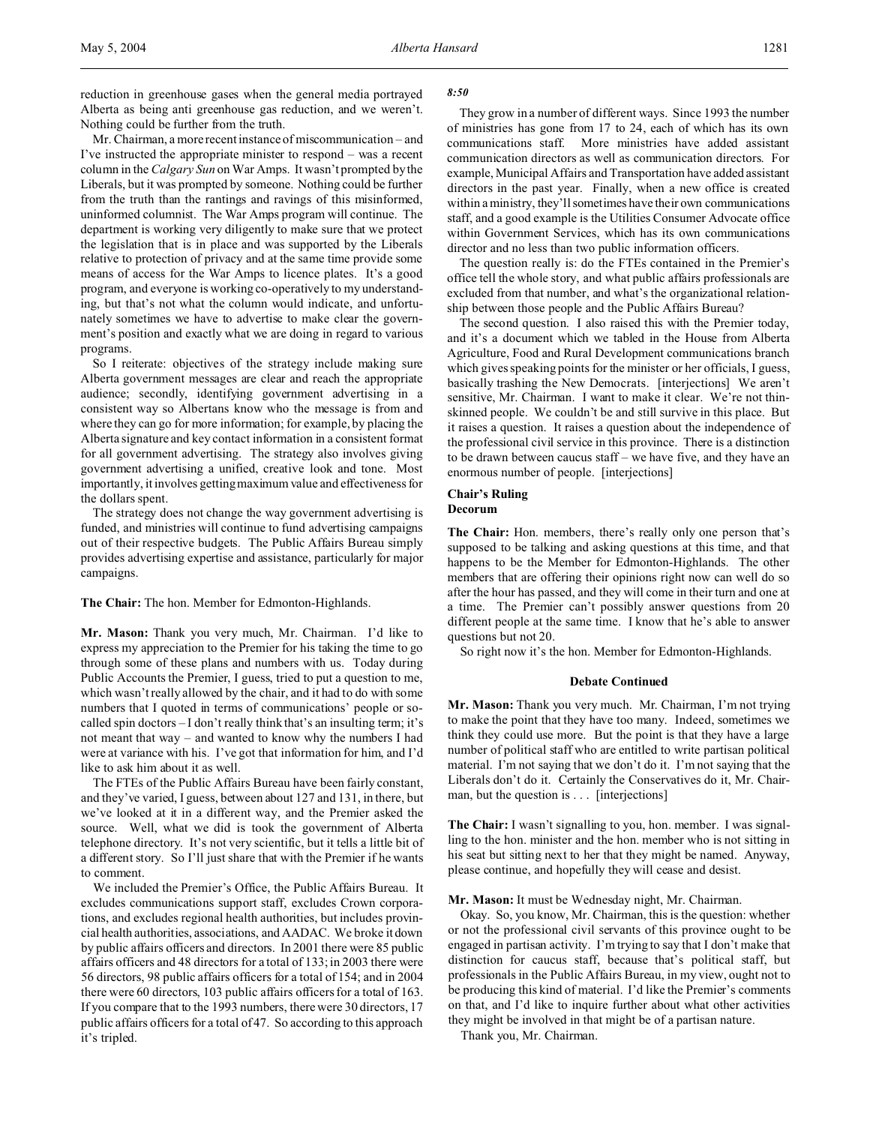reduction in greenhouse gases when the general media portrayed Alberta as being anti greenhouse gas reduction, and we weren't. Nothing could be further from the truth.

Mr. Chairman, a more recent instance of miscommunication – and I've instructed the appropriate minister to respond – was a recent column in the *Calgary Sun* on War Amps. It wasn't prompted by the Liberals, but it was prompted by someone. Nothing could be further from the truth than the rantings and ravings of this misinformed, uninformed columnist. The War Amps program will continue. The department is working very diligently to make sure that we protect the legislation that is in place and was supported by the Liberals relative to protection of privacy and at the same time provide some means of access for the War Amps to licence plates. It's a good program, and everyone is working co-operatively to my understanding, but that's not what the column would indicate, and unfortunately sometimes we have to advertise to make clear the government's position and exactly what we are doing in regard to various programs.

So I reiterate: objectives of the strategy include making sure Alberta government messages are clear and reach the appropriate audience; secondly, identifying government advertising in a consistent way so Albertans know who the message is from and where they can go for more information; for example, by placing the Alberta signature and key contact information in a consistent format for all government advertising. The strategy also involves giving government advertising a unified, creative look and tone. Most importantly, it involves getting maximum value and effectiveness for the dollars spent.

The strategy does not change the way government advertising is funded, and ministries will continue to fund advertising campaigns out of their respective budgets. The Public Affairs Bureau simply provides advertising expertise and assistance, particularly for major campaigns.

**The Chair:** The hon. Member for Edmonton-Highlands.

**Mr. Mason:** Thank you very much, Mr. Chairman. I'd like to express my appreciation to the Premier for his taking the time to go through some of these plans and numbers with us. Today during Public Accounts the Premier, I guess, tried to put a question to me, which wasn't really allowed by the chair, and it had to do with some numbers that I quoted in terms of communications' people or socalled spin doctors – I don't really think that's an insulting term; it's not meant that way – and wanted to know why the numbers I had were at variance with his. I've got that information for him, and I'd like to ask him about it as well.

The FTEs of the Public Affairs Bureau have been fairly constant, and they've varied, I guess, between about 127 and 131, in there, but we've looked at it in a different way, and the Premier asked the source. Well, what we did is took the government of Alberta telephone directory. It's not very scientific, but it tells a little bit of a different story. So I'll just share that with the Premier if he wants to comment.

We included the Premier's Office, the Public Affairs Bureau. It excludes communications support staff, excludes Crown corporations, and excludes regional health authorities, but includes provincial health authorities, associations, and AADAC. We broke it down by public affairs officers and directors. In 2001 there were 85 public affairs officers and 48 directors for a total of 133; in 2003 there were 56 directors, 98 public affairs officers for a total of 154; and in 2004 there were 60 directors, 103 public affairs officers for a total of 163. If you compare that to the 1993 numbers, there were 30 directors, 17 public affairs officers for a total of 47. So according to this approach it's tripled.

#### *8:50*

They grow in a number of different ways. Since 1993 the number of ministries has gone from 17 to 24, each of which has its own communications staff. More ministries have added assistant communication directors as well as communication directors. For example, Municipal Affairs and Transportation have added assistant directors in the past year. Finally, when a new office is created within a ministry, they'll sometimes have their own communications staff, and a good example is the Utilities Consumer Advocate office within Government Services, which has its own communications director and no less than two public information officers.

The question really is: do the FTEs contained in the Premier's office tell the whole story, and what public affairs professionals are excluded from that number, and what's the organizational relationship between those people and the Public Affairs Bureau?

The second question. I also raised this with the Premier today, and it's a document which we tabled in the House from Alberta Agriculture, Food and Rural Development communications branch which gives speaking points for the minister or her officials, I guess, basically trashing the New Democrats. [interjections] We aren't sensitive, Mr. Chairman. I want to make it clear. We're not thinskinned people. We couldn't be and still survive in this place. But it raises a question. It raises a question about the independence of the professional civil service in this province. There is a distinction to be drawn between caucus staff – we have five, and they have an enormous number of people. [interjections]

# **Chair's Ruling**

**Decorum**

**The Chair:** Hon. members, there's really only one person that's supposed to be talking and asking questions at this time, and that happens to be the Member for Edmonton-Highlands. The other members that are offering their opinions right now can well do so after the hour has passed, and they will come in their turn and one at a time. The Premier can't possibly answer questions from 20 different people at the same time. I know that he's able to answer questions but not 20.

So right now it's the hon. Member for Edmonton-Highlands.

#### **Debate Continued**

**Mr. Mason:** Thank you very much. Mr. Chairman, I'm not trying to make the point that they have too many. Indeed, sometimes we think they could use more. But the point is that they have a large number of political staff who are entitled to write partisan political material. I'm not saying that we don't do it. I'm not saying that the Liberals don't do it. Certainly the Conservatives do it, Mr. Chairman, but the question is . . . [interjections]

**The Chair:** I wasn't signalling to you, hon. member. I was signalling to the hon. minister and the hon. member who is not sitting in his seat but sitting next to her that they might be named. Anyway, please continue, and hopefully they will cease and desist.

### **Mr. Mason:** It must be Wednesday night, Mr. Chairman.

Okay. So, you know, Mr. Chairman, this is the question: whether or not the professional civil servants of this province ought to be engaged in partisan activity. I'm trying to say that I don't make that distinction for caucus staff, because that's political staff, but professionals in the Public Affairs Bureau, in my view, ought not to be producing this kind of material. I'd like the Premier's comments on that, and I'd like to inquire further about what other activities they might be involved in that might be of a partisan nature.

Thank you, Mr. Chairman.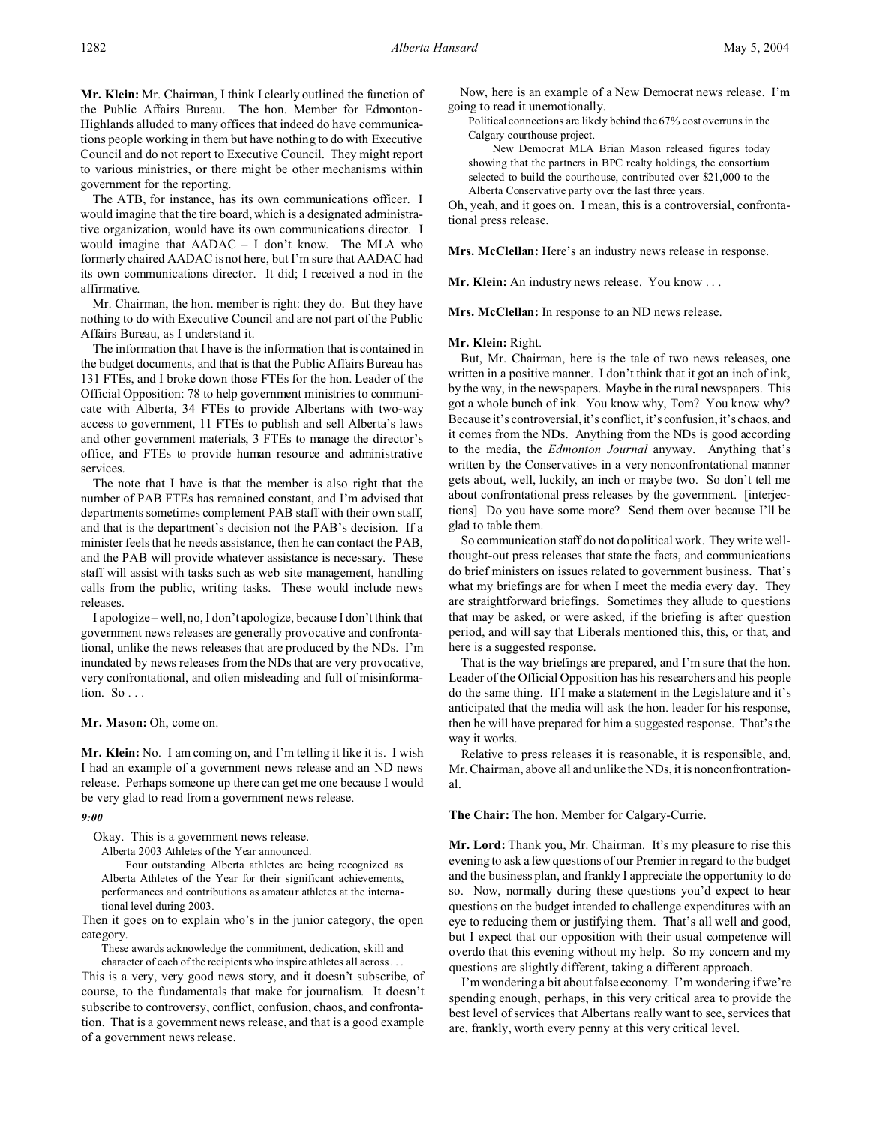**Mr. Klein:** Mr. Chairman, I think I clearly outlined the function of the Public Affairs Bureau. The hon. Member for Edmonton-Highlands alluded to many offices that indeed do have communications people working in them but have nothing to do with Executive Council and do not report to Executive Council. They might report to various ministries, or there might be other mechanisms within government for the reporting.

The ATB, for instance, has its own communications officer. I would imagine that the tire board, which is a designated administrative organization, would have its own communications director. I would imagine that AADAC – I don't know. The MLA who formerly chaired AADAC is not here, but I'm sure that AADAC had its own communications director. It did; I received a nod in the affirmative.

Mr. Chairman, the hon. member is right: they do. But they have nothing to do with Executive Council and are not part of the Public Affairs Bureau, as I understand it.

The information that I have is the information that is contained in the budget documents, and that is that the Public Affairs Bureau has 131 FTEs, and I broke down those FTEs for the hon. Leader of the Official Opposition: 78 to help government ministries to communicate with Alberta, 34 FTEs to provide Albertans with two-way access to government, 11 FTEs to publish and sell Alberta's laws and other government materials, 3 FTEs to manage the director's office, and FTEs to provide human resource and administrative services.

The note that I have is that the member is also right that the number of PAB FTEs has remained constant, and I'm advised that departments sometimes complement PAB staff with their own staff, and that is the department's decision not the PAB's decision. If a minister feels that he needs assistance, then he can contact the PAB, and the PAB will provide whatever assistance is necessary. These staff will assist with tasks such as web site management, handling calls from the public, writing tasks. These would include news releases.

I apologize – well, no, I don't apologize, because I don't think that government news releases are generally provocative and confrontational, unlike the news releases that are produced by the NDs. I'm inundated by news releases from the NDs that are very provocative, very confrontational, and often misleading and full of misinformation. So . . .

### **Mr. Mason:** Oh, come on.

**Mr. Klein:** No. I am coming on, and I'm telling it like it is. I wish I had an example of a government news release and an ND news release. Perhaps someone up there can get me one because I would be very glad to read from a government news release.

### *9:00*

Okay. This is a government news release.

Alberta 2003 Athletes of the Year announced.

Four outstanding Alberta athletes are being recognized as Alberta Athletes of the Year for their significant achievements, performances and contributions as amateur athletes at the international level during 2003.

Then it goes on to explain who's in the junior category, the open category.

These awards acknowledge the commitment, dedication, skill and

character of each of the recipients who inspire athletes all across . . . This is a very, very good news story, and it doesn't subscribe, of course, to the fundamentals that make for journalism. It doesn't subscribe to controversy, conflict, confusion, chaos, and confrontation. That is a government news release, and that is a good example of a government news release.

Now, here is an example of a New Democrat news release. I'm going to read it unemotionally.

Political connections are likely behind the 67% cost overruns in the Calgary courthouse project.

New Democrat MLA Brian Mason released figures today showing that the partners in BPC realty holdings, the consortium selected to build the courthouse, contributed over \$21,000 to the Alberta Conservative party over the last three years.

Oh, yeah, and it goes on. I mean, this is a controversial, confrontational press release.

**Mrs. McClellan:** Here's an industry news release in response.

Mr. Klein: An industry news release. You know . . .

**Mrs. McClellan:** In response to an ND news release.

#### **Mr. Klein:** Right.

But, Mr. Chairman, here is the tale of two news releases, one written in a positive manner. I don't think that it got an inch of ink, by the way, in the newspapers. Maybe in the rural newspapers. This got a whole bunch of ink. You know why, Tom? You know why? Because it's controversial, it's conflict, it's confusion, it's chaos, and it comes from the NDs. Anything from the NDs is good according to the media, the *Edmonton Journal* anyway. Anything that's written by the Conservatives in a very nonconfrontational manner gets about, well, luckily, an inch or maybe two. So don't tell me about confrontational press releases by the government. [interjections] Do you have some more? Send them over because I'll be glad to table them.

So communication staff do not do political work. They write wellthought-out press releases that state the facts, and communications do brief ministers on issues related to government business. That's what my briefings are for when I meet the media every day. They are straightforward briefings. Sometimes they allude to questions that may be asked, or were asked, if the briefing is after question period, and will say that Liberals mentioned this, this, or that, and here is a suggested response.

That is the way briefings are prepared, and I'm sure that the hon. Leader of the Official Opposition has his researchers and his people do the same thing. If I make a statement in the Legislature and it's anticipated that the media will ask the hon. leader for his response, then he will have prepared for him a suggested response. That's the way it works.

Relative to press releases it is reasonable, it is responsible, and, Mr. Chairman, above all and unlike the NDs, it is nonconfrontrational.

**The Chair:** The hon. Member for Calgary-Currie.

**Mr. Lord:** Thank you, Mr. Chairman. It's my pleasure to rise this evening to ask a few questions of our Premier in regard to the budget and the business plan, and frankly I appreciate the opportunity to do so. Now, normally during these questions you'd expect to hear questions on the budget intended to challenge expenditures with an eye to reducing them or justifying them. That's all well and good, but I expect that our opposition with their usual competence will overdo that this evening without my help. So my concern and my questions are slightly different, taking a different approach.

I'm wondering a bit about false economy. I'm wondering if we're spending enough, perhaps, in this very critical area to provide the best level of services that Albertans really want to see, services that are, frankly, worth every penny at this very critical level.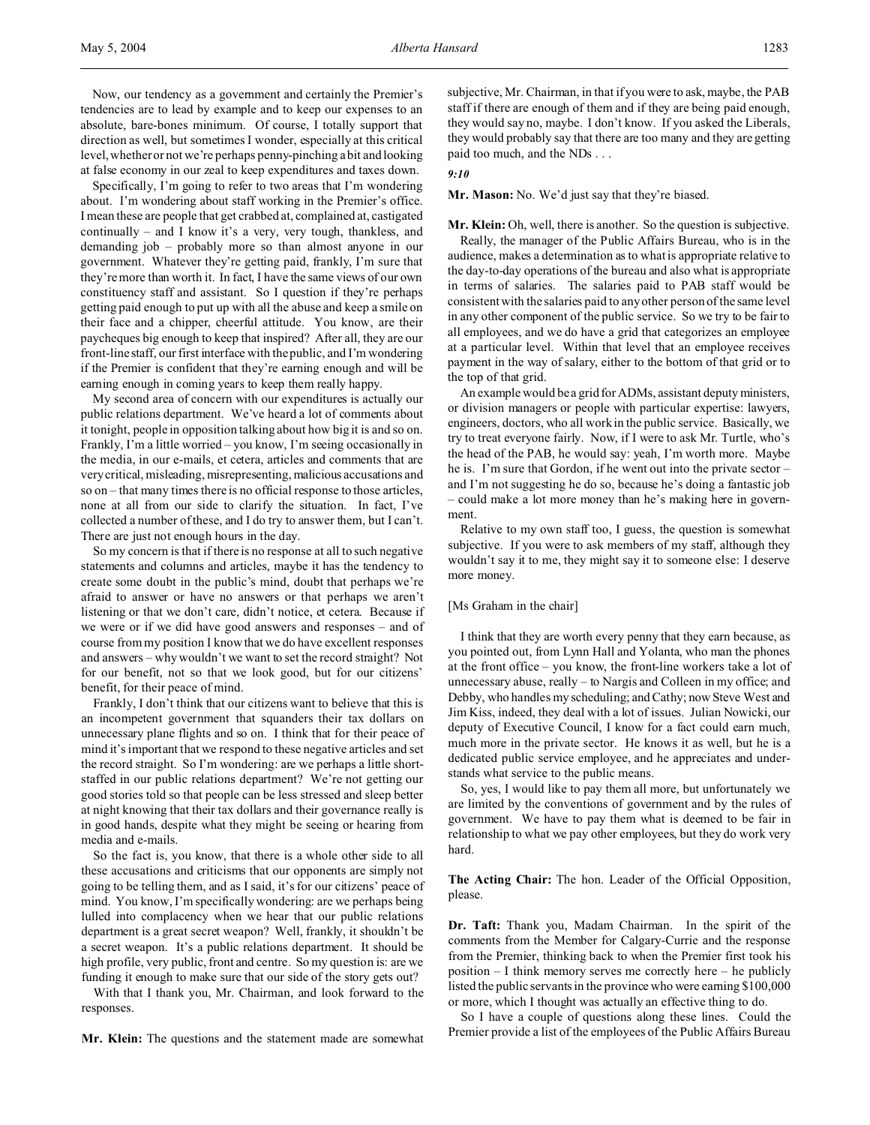Now, our tendency as a government and certainly the Premier's tendencies are to lead by example and to keep our expenses to an absolute, bare-bones minimum. Of course, I totally support that direction as well, but sometimes I wonder, especially at this critical level, whether or not we're perhaps penny-pinching a bit and looking at false economy in our zeal to keep expenditures and taxes down.

Specifically, I'm going to refer to two areas that I'm wondering about. I'm wondering about staff working in the Premier's office. I mean these are people that get crabbed at, complained at, castigated continually – and I know it's a very, very tough, thankless, and demanding job – probably more so than almost anyone in our government. Whatever they're getting paid, frankly, I'm sure that they're more than worth it. In fact, I have the same views of our own constituency staff and assistant. So I question if they're perhaps getting paid enough to put up with all the abuse and keep a smile on their face and a chipper, cheerful attitude. You know, are their paycheques big enough to keep that inspired? After all, they are our front-line staff, our first interface with the public, and I'm wondering if the Premier is confident that they're earning enough and will be earning enough in coming years to keep them really happy.

My second area of concern with our expenditures is actually our public relations department. We've heard a lot of comments about it tonight, people in opposition talking about how big it is and so on. Frankly, I'm a little worried – you know, I'm seeing occasionally in the media, in our e-mails, et cetera, articles and comments that are very critical, misleading, misrepresenting, malicious accusations and so on – that many times there is no official response to those articles, none at all from our side to clarify the situation. In fact, I've collected a number of these, and I do try to answer them, but I can't. There are just not enough hours in the day.

So my concern is that if there is no response at all to such negative statements and columns and articles, maybe it has the tendency to create some doubt in the public's mind, doubt that perhaps we're afraid to answer or have no answers or that perhaps we aren't listening or that we don't care, didn't notice, et cetera. Because if we were or if we did have good answers and responses – and of course from my position I know that we do have excellent responses and answers – why wouldn't we want to set the record straight? Not for our benefit, not so that we look good, but for our citizens' benefit, for their peace of mind.

Frankly, I don't think that our citizens want to believe that this is an incompetent government that squanders their tax dollars on unnecessary plane flights and so on. I think that for their peace of mind it's important that we respond to these negative articles and set the record straight. So I'm wondering: are we perhaps a little shortstaffed in our public relations department? We're not getting our good stories told so that people can be less stressed and sleep better at night knowing that their tax dollars and their governance really is in good hands, despite what they might be seeing or hearing from media and e-mails.

So the fact is, you know, that there is a whole other side to all these accusations and criticisms that our opponents are simply not going to be telling them, and as I said, it's for our citizens' peace of mind. You know, I'm specifically wondering: are we perhaps being lulled into complacency when we hear that our public relations department is a great secret weapon? Well, frankly, it shouldn't be a secret weapon. It's a public relations department. It should be high profile, very public, front and centre. So my question is: are we funding it enough to make sure that our side of the story gets out?

With that I thank you, Mr. Chairman, and look forward to the responses.

**Mr. Klein:** The questions and the statement made are somewhat

subjective, Mr. Chairman, in that if you were to ask, maybe, the PAB staff if there are enough of them and if they are being paid enough, they would say no, maybe. I don't know. If you asked the Liberals, they would probably say that there are too many and they are getting paid too much, and the NDs . . .

#### *9:10*

## **Mr. Mason:** No. We'd just say that they're biased.

**Mr. Klein:** Oh, well, there is another. So the question is subjective.

Really, the manager of the Public Affairs Bureau, who is in the audience, makes a determination as to what is appropriate relative to the day-to-day operations of the bureau and also what is appropriate in terms of salaries. The salaries paid to PAB staff would be consistent with the salaries paid to any other person of the same level in any other component of the public service. So we try to be fair to all employees, and we do have a grid that categorizes an employee at a particular level. Within that level that an employee receives payment in the way of salary, either to the bottom of that grid or to the top of that grid.

An example would be a grid for ADMs, assistant deputy ministers, or division managers or people with particular expertise: lawyers, engineers, doctors, who all work in the public service. Basically, we try to treat everyone fairly. Now, if I were to ask Mr. Turtle, who's the head of the PAB, he would say: yeah, I'm worth more. Maybe he is. I'm sure that Gordon, if he went out into the private sector – and I'm not suggesting he do so, because he's doing a fantastic job – could make a lot more money than he's making here in government.

Relative to my own staff too, I guess, the question is somewhat subjective. If you were to ask members of my staff, although they wouldn't say it to me, they might say it to someone else: I deserve more money.

## [Ms Graham in the chair]

I think that they are worth every penny that they earn because, as you pointed out, from Lynn Hall and Yolanta, who man the phones at the front office – you know, the front-line workers take a lot of unnecessary abuse, really – to Nargis and Colleen in my office; and Debby, who handles my scheduling; and Cathy; now Steve West and Jim Kiss, indeed, they deal with a lot of issues. Julian Nowicki, our deputy of Executive Council, I know for a fact could earn much, much more in the private sector. He knows it as well, but he is a dedicated public service employee, and he appreciates and understands what service to the public means.

So, yes, I would like to pay them all more, but unfortunately we are limited by the conventions of government and by the rules of government. We have to pay them what is deemed to be fair in relationship to what we pay other employees, but they do work very hard.

**The Acting Chair:** The hon. Leader of the Official Opposition, please.

**Dr. Taft:** Thank you, Madam Chairman. In the spirit of the comments from the Member for Calgary-Currie and the response from the Premier, thinking back to when the Premier first took his position – I think memory serves me correctly here – he publicly listed the public servants in the province who were earning \$100,000 or more, which I thought was actually an effective thing to do.

So I have a couple of questions along these lines. Could the Premier provide a list of the employees of the Public Affairs Bureau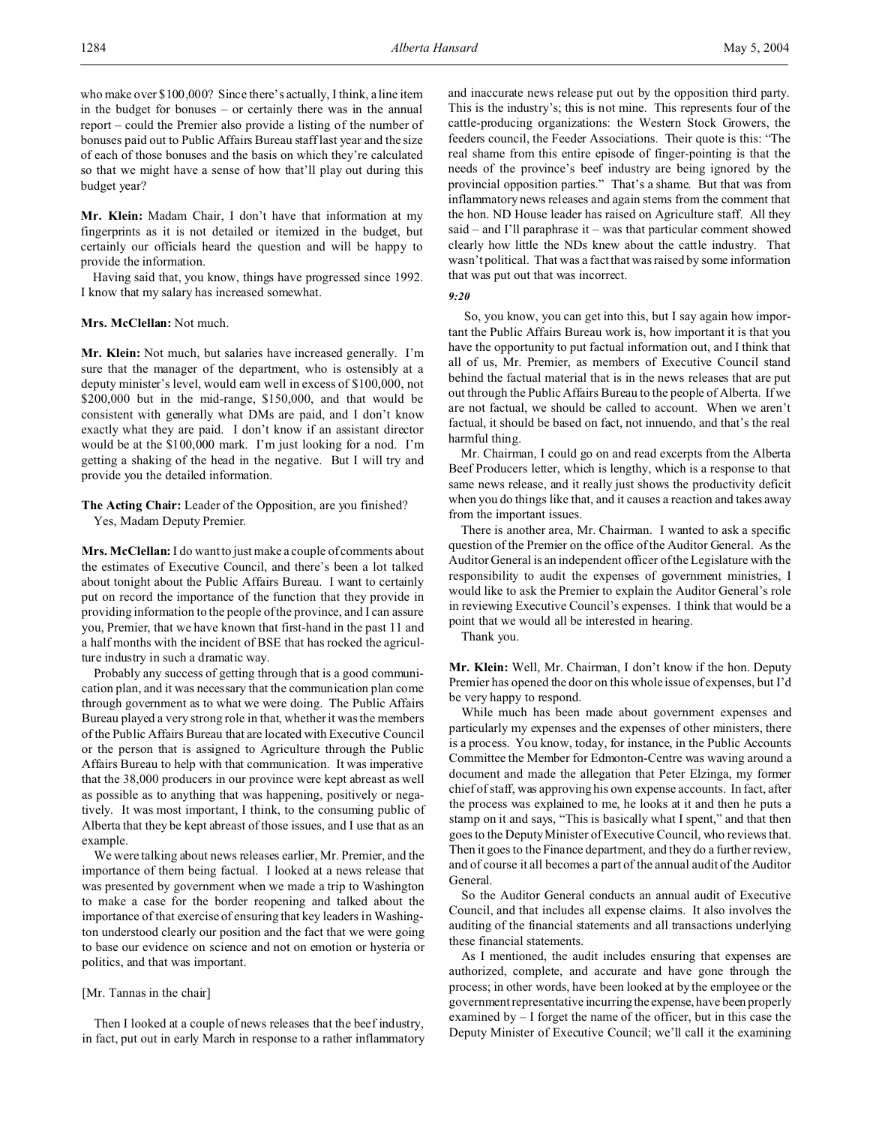who make over \$100,000? Since there's actually, I think, a line item in the budget for bonuses – or certainly there was in the annual report – could the Premier also provide a listing of the number of bonuses paid out to Public Affairs Bureau staff last year and the size of each of those bonuses and the basis on which they're calculated so that we might have a sense of how that'll play out during this budget year?

**Mr. Klein:** Madam Chair, I don't have that information at my fingerprints as it is not detailed or itemized in the budget, but certainly our officials heard the question and will be happy to provide the information.

Having said that, you know, things have progressed since 1992. I know that my salary has increased somewhat.

#### **Mrs. McClellan:** Not much.

**Mr. Klein:** Not much, but salaries have increased generally. I'm sure that the manager of the department, who is ostensibly at a deputy minister's level, would earn well in excess of \$100,000, not \$200,000 but in the mid-range, \$150,000, and that would be consistent with generally what DMs are paid, and I don't know exactly what they are paid. I don't know if an assistant director would be at the \$100,000 mark. I'm just looking for a nod. I'm getting a shaking of the head in the negative. But I will try and provide you the detailed information.

**The Acting Chair:** Leader of the Opposition, are you finished? Yes, Madam Deputy Premier.

**Mrs. McClellan:** I do want to just make a couple of comments about the estimates of Executive Council, and there's been a lot talked about tonight about the Public Affairs Bureau. I want to certainly put on record the importance of the function that they provide in providing information to the people of the province, and I can assure you, Premier, that we have known that first-hand in the past 11 and a half months with the incident of BSE that has rocked the agriculture industry in such a dramatic way.

Probably any success of getting through that is a good communication plan, and it was necessary that the communication plan come through government as to what we were doing. The Public Affairs Bureau played a very strong role in that, whether it was the members of the Public Affairs Bureau that are located with Executive Council or the person that is assigned to Agriculture through the Public Affairs Bureau to help with that communication. It was imperative that the 38,000 producers in our province were kept abreast as well as possible as to anything that was happening, positively or negatively. It was most important, I think, to the consuming public of Alberta that they be kept abreast of those issues, and I use that as an example.

We were talking about news releases earlier, Mr. Premier, and the importance of them being factual. I looked at a news release that was presented by government when we made a trip to Washington to make a case for the border reopening and talked about the importance of that exercise of ensuring that key leaders in Washington understood clearly our position and the fact that we were going to base our evidence on science and not on emotion or hysteria or politics, and that was important.

### [Mr. Tannas in the chair]

Then I looked at a couple of news releases that the beef industry, in fact, put out in early March in response to a rather inflammatory

and inaccurate news release put out by the opposition third party. This is the industry's; this is not mine. This represents four of the cattle-producing organizations: the Western Stock Growers, the feeders council, the Feeder Associations. Their quote is this: "The real shame from this entire episode of finger-pointing is that the needs of the province's beef industry are being ignored by the provincial opposition parties." That's a shame. But that was from inflammatory news releases and again stems from the comment that the hon. ND House leader has raised on Agriculture staff. All they said – and I'll paraphrase it – was that particular comment showed clearly how little the NDs knew about the cattle industry. That wasn't political. That was a fact that was raised by some information that was put out that was incorrect.

```
9:20
```
 So, you know, you can get into this, but I say again how important the Public Affairs Bureau work is, how important it is that you have the opportunity to put factual information out, and I think that all of us, Mr. Premier, as members of Executive Council stand behind the factual material that is in the news releases that are put out through the Public Affairs Bureau to the people of Alberta. If we are not factual, we should be called to account. When we aren't factual, it should be based on fact, not innuendo, and that's the real harmful thing.

Mr. Chairman, I could go on and read excerpts from the Alberta Beef Producers letter, which is lengthy, which is a response to that same news release, and it really just shows the productivity deficit when you do things like that, and it causes a reaction and takes away from the important issues.

There is another area, Mr. Chairman. I wanted to ask a specific question of the Premier on the office of the Auditor General. As the Auditor General is an independent officer of the Legislature with the responsibility to audit the expenses of government ministries, I would like to ask the Premier to explain the Auditor General's role in reviewing Executive Council's expenses. I think that would be a point that we would all be interested in hearing.

Thank you.

**Mr. Klein:** Well, Mr. Chairman, I don't know if the hon. Deputy Premier has opened the door on this whole issue of expenses, but I'd be very happy to respond.

While much has been made about government expenses and particularly my expenses and the expenses of other ministers, there is a process. You know, today, for instance, in the Public Accounts Committee the Member for Edmonton-Centre was waving around a document and made the allegation that Peter Elzinga, my former chief of staff, was approving his own expense accounts. In fact, after the process was explained to me, he looks at it and then he puts a stamp on it and says, "This is basically what I spent," and that then goes to the Deputy Minister of Executive Council, who reviews that. Then it goes to the Finance department, and they do a further review, and of course it all becomes a part of the annual audit of the Auditor General.

So the Auditor General conducts an annual audit of Executive Council, and that includes all expense claims. It also involves the auditing of the financial statements and all transactions underlying these financial statements.

As I mentioned, the audit includes ensuring that expenses are authorized, complete, and accurate and have gone through the process; in other words, have been looked at by the employee or the government representative incurring the expense, have been properly examined by – I forget the name of the officer, but in this case the Deputy Minister of Executive Council; we'll call it the examining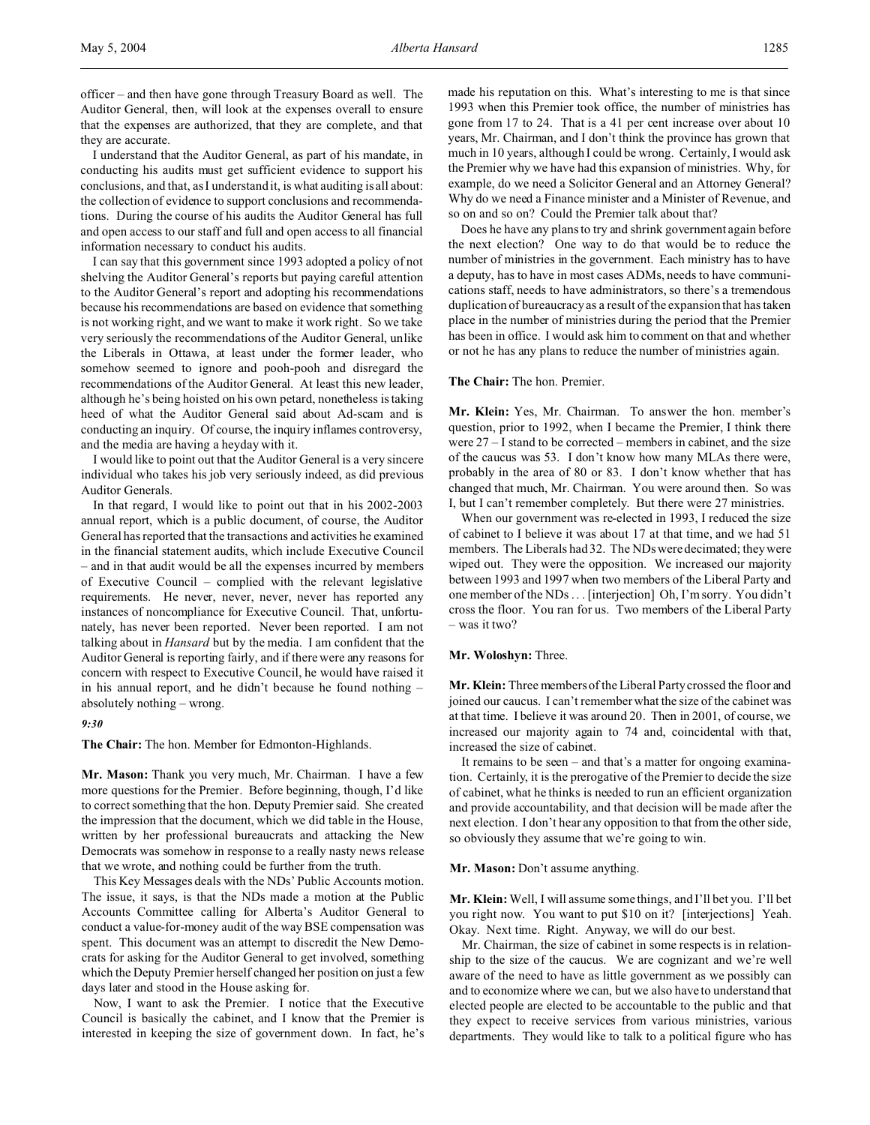I understand that the Auditor General, as part of his mandate, in conducting his audits must get sufficient evidence to support his conclusions, and that, as I understand it, is what auditing is all about: the collection of evidence to support conclusions and recommendations. During the course of his audits the Auditor General has full and open access to our staff and full and open access to all financial information necessary to conduct his audits.

I can say that this government since 1993 adopted a policy of not shelving the Auditor General's reports but paying careful attention to the Auditor General's report and adopting his recommendations because his recommendations are based on evidence that something is not working right, and we want to make it work right. So we take very seriously the recommendations of the Auditor General, unlike the Liberals in Ottawa, at least under the former leader, who somehow seemed to ignore and pooh-pooh and disregard the recommendations of the Auditor General. At least this new leader, although he's being hoisted on his own petard, nonetheless is taking heed of what the Auditor General said about Ad-scam and is conducting an inquiry. Of course, the inquiry inflames controversy, and the media are having a heyday with it.

I would like to point out that the Auditor General is a very sincere individual who takes his job very seriously indeed, as did previous Auditor Generals.

In that regard, I would like to point out that in his 2002-2003 annual report, which is a public document, of course, the Auditor General has reported that the transactions and activities he examined in the financial statement audits, which include Executive Council – and in that audit would be all the expenses incurred by members of Executive Council – complied with the relevant legislative requirements. He never, never, never, never has reported any instances of noncompliance for Executive Council. That, unfortunately, has never been reported. Never been reported. I am not talking about in *Hansard* but by the media. I am confident that the Auditor General is reporting fairly, and if there were any reasons for concern with respect to Executive Council, he would have raised it in his annual report, and he didn't because he found nothing – absolutely nothing – wrong.

### *9:30*

**The Chair:** The hon. Member for Edmonton-Highlands.

**Mr. Mason:** Thank you very much, Mr. Chairman. I have a few more questions for the Premier. Before beginning, though, I'd like to correct something that the hon. Deputy Premier said. She created the impression that the document, which we did table in the House, written by her professional bureaucrats and attacking the New Democrats was somehow in response to a really nasty news release that we wrote, and nothing could be further from the truth.

This Key Messages deals with the NDs' Public Accounts motion. The issue, it says, is that the NDs made a motion at the Public Accounts Committee calling for Alberta's Auditor General to conduct a value-for-money audit of the way BSE compensation was spent. This document was an attempt to discredit the New Democrats for asking for the Auditor General to get involved, something which the Deputy Premier herself changed her position on just a few days later and stood in the House asking for.

Now, I want to ask the Premier. I notice that the Executive Council is basically the cabinet, and I know that the Premier is interested in keeping the size of government down. In fact, he's made his reputation on this. What's interesting to me is that since 1993 when this Premier took office, the number of ministries has gone from 17 to 24. That is a 41 per cent increase over about 10 years, Mr. Chairman, and I don't think the province has grown that much in 10 years, although I could be wrong. Certainly, I would ask the Premier why we have had this expansion of ministries. Why, for example, do we need a Solicitor General and an Attorney General? Why do we need a Finance minister and a Minister of Revenue, and so on and so on? Could the Premier talk about that?

Does he have any plans to try and shrink government again before the next election? One way to do that would be to reduce the number of ministries in the government. Each ministry has to have a deputy, has to have in most cases ADMs, needs to have communications staff, needs to have administrators, so there's a tremendous duplication of bureaucracy as a result of the expansion that has taken place in the number of ministries during the period that the Premier has been in office. I would ask him to comment on that and whether or not he has any plans to reduce the number of ministries again.

### **The Chair:** The hon. Premier.

**Mr. Klein:** Yes, Mr. Chairman. To answer the hon. member's question, prior to 1992, when I became the Premier, I think there were 27 – I stand to be corrected – members in cabinet, and the size of the caucus was 53. I don't know how many MLAs there were, probably in the area of 80 or 83. I don't know whether that has changed that much, Mr. Chairman. You were around then. So was I, but I can't remember completely. But there were 27 ministries.

When our government was re-elected in 1993, I reduced the size of cabinet to I believe it was about 17 at that time, and we had 51 members. The Liberals had 32. The NDs were decimated; they were wiped out. They were the opposition. We increased our majority between 1993 and 1997 when two members of the Liberal Party and one member of the NDs . . . [interjection] Oh, I'm sorry. You didn't cross the floor. You ran for us. Two members of the Liberal Party – was it two?

### **Mr. Woloshyn:** Three.

**Mr. Klein:** Three members of the Liberal Party crossed the floor and joined our caucus. I can't remember what the size of the cabinet was at that time. I believe it was around 20. Then in 2001, of course, we increased our majority again to 74 and, coincidental with that, increased the size of cabinet.

It remains to be seen – and that's a matter for ongoing examination. Certainly, it is the prerogative of the Premier to decide the size of cabinet, what he thinks is needed to run an efficient organization and provide accountability, and that decision will be made after the next election. I don't hear any opposition to that from the other side, so obviously they assume that we're going to win.

#### **Mr. Mason:** Don't assume anything.

**Mr. Klein:** Well, I will assume some things, and I'll bet you. I'll bet you right now. You want to put \$10 on it? [interjections] Yeah. Okay. Next time. Right. Anyway, we will do our best.

Mr. Chairman, the size of cabinet in some respects is in relationship to the size of the caucus. We are cognizant and we're well aware of the need to have as little government as we possibly can and to economize where we can, but we also have to understand that elected people are elected to be accountable to the public and that they expect to receive services from various ministries, various departments. They would like to talk to a political figure who has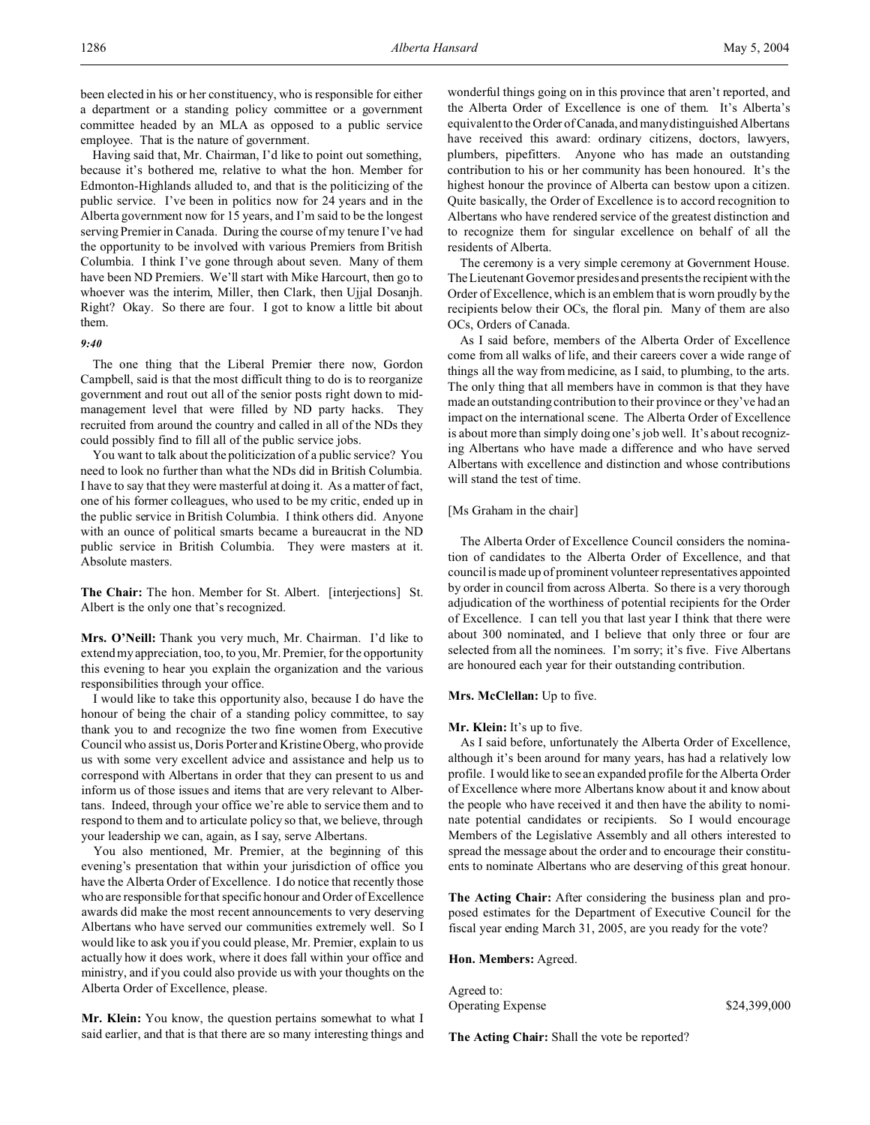been elected in his or her constituency, who is responsible for either a department or a standing policy committee or a government committee headed by an MLA as opposed to a public service employee. That is the nature of government.

Having said that, Mr. Chairman, I'd like to point out something, because it's bothered me, relative to what the hon. Member for Edmonton-Highlands alluded to, and that is the politicizing of the public service. I've been in politics now for 24 years and in the Alberta government now for 15 years, and I'm said to be the longest serving Premier in Canada. During the course of my tenure I've had the opportunity to be involved with various Premiers from British Columbia. I think I've gone through about seven. Many of them have been ND Premiers. We'll start with Mike Harcourt, then go to whoever was the interim, Miller, then Clark, then Ujjal Dosanjh. Right? Okay. So there are four. I got to know a little bit about them.

### *9:40*

The one thing that the Liberal Premier there now, Gordon Campbell, said is that the most difficult thing to do is to reorganize government and rout out all of the senior posts right down to midmanagement level that were filled by ND party hacks. They recruited from around the country and called in all of the NDs they could possibly find to fill all of the public service jobs.

You want to talk about the politicization of a public service? You need to look no further than what the NDs did in British Columbia. I have to say that they were masterful at doing it. As a matter of fact, one of his former colleagues, who used to be my critic, ended up in the public service in British Columbia. I think others did. Anyone with an ounce of political smarts became a bureaucrat in the ND public service in British Columbia. They were masters at it. Absolute masters.

**The Chair:** The hon. Member for St. Albert. [interjections] St. Albert is the only one that's recognized.

**Mrs. O'Neill:** Thank you very much, Mr. Chairman. I'd like to extend my appreciation, too, to you, Mr. Premier, for the opportunity this evening to hear you explain the organization and the various responsibilities through your office.

I would like to take this opportunity also, because I do have the honour of being the chair of a standing policy committee, to say thank you to and recognize the two fine women from Executive Council who assist us, Doris Porter and Kristine Oberg, who provide us with some very excellent advice and assistance and help us to correspond with Albertans in order that they can present to us and inform us of those issues and items that are very relevant to Albertans. Indeed, through your office we're able to service them and to respond to them and to articulate policy so that, we believe, through your leadership we can, again, as I say, serve Albertans.

You also mentioned, Mr. Premier, at the beginning of this evening's presentation that within your jurisdiction of office you have the Alberta Order of Excellence. I do notice that recently those who are responsible for that specific honour and Order of Excellence awards did make the most recent announcements to very deserving Albertans who have served our communities extremely well. So I would like to ask you if you could please, Mr. Premier, explain to us actually how it does work, where it does fall within your office and ministry, and if you could also provide us with your thoughts on the Alberta Order of Excellence, please.

**Mr. Klein:** You know, the question pertains somewhat to what I said earlier, and that is that there are so many interesting things and wonderful things going on in this province that aren't reported, and the Alberta Order of Excellence is one of them. It's Alberta's equivalent to the Order of Canada, and many distinguished Albertans have received this award: ordinary citizens, doctors, lawyers, plumbers, pipefitters. Anyone who has made an outstanding contribution to his or her community has been honoured. It's the highest honour the province of Alberta can bestow upon a citizen. Quite basically, the Order of Excellence is to accord recognition to Albertans who have rendered service of the greatest distinction and to recognize them for singular excellence on behalf of all the residents of Alberta.

The ceremony is a very simple ceremony at Government House. The Lieutenant Governor presides and presents the recipient with the Order of Excellence, which is an emblem that is worn proudly by the recipients below their OCs, the floral pin. Many of them are also OCs, Orders of Canada.

As I said before, members of the Alberta Order of Excellence come from all walks of life, and their careers cover a wide range of things all the way from medicine, as I said, to plumbing, to the arts. The only thing that all members have in common is that they have made an outstanding contribution to their province or they've had an impact on the international scene. The Alberta Order of Excellence is about more than simply doing one's job well. It's about recognizing Albertans who have made a difference and who have served Albertans with excellence and distinction and whose contributions will stand the test of time.

### [Ms Graham in the chair]

The Alberta Order of Excellence Council considers the nomination of candidates to the Alberta Order of Excellence, and that council is made up of prominent volunteer representatives appointed by order in council from across Alberta. So there is a very thorough adjudication of the worthiness of potential recipients for the Order of Excellence. I can tell you that last year I think that there were about 300 nominated, and I believe that only three or four are selected from all the nominees. I'm sorry; it's five. Five Albertans are honoured each year for their outstanding contribution.

## **Mrs. McClellan:** Up to five.

#### **Mr. Klein:** It's up to five.

As I said before, unfortunately the Alberta Order of Excellence, although it's been around for many years, has had a relatively low profile. I would like to see an expanded profile for the Alberta Order of Excellence where more Albertans know about it and know about the people who have received it and then have the ability to nominate potential candidates or recipients. So I would encourage Members of the Legislative Assembly and all others interested to spread the message about the order and to encourage their constituents to nominate Albertans who are deserving of this great honour.

**The Acting Chair:** After considering the business plan and proposed estimates for the Department of Executive Council for the fiscal year ending March 31, 2005, are you ready for the vote?

### **Hon. Members:** Agreed.

Agreed to: Operating Expense \$24,399,000

**The Acting Chair:** Shall the vote be reported?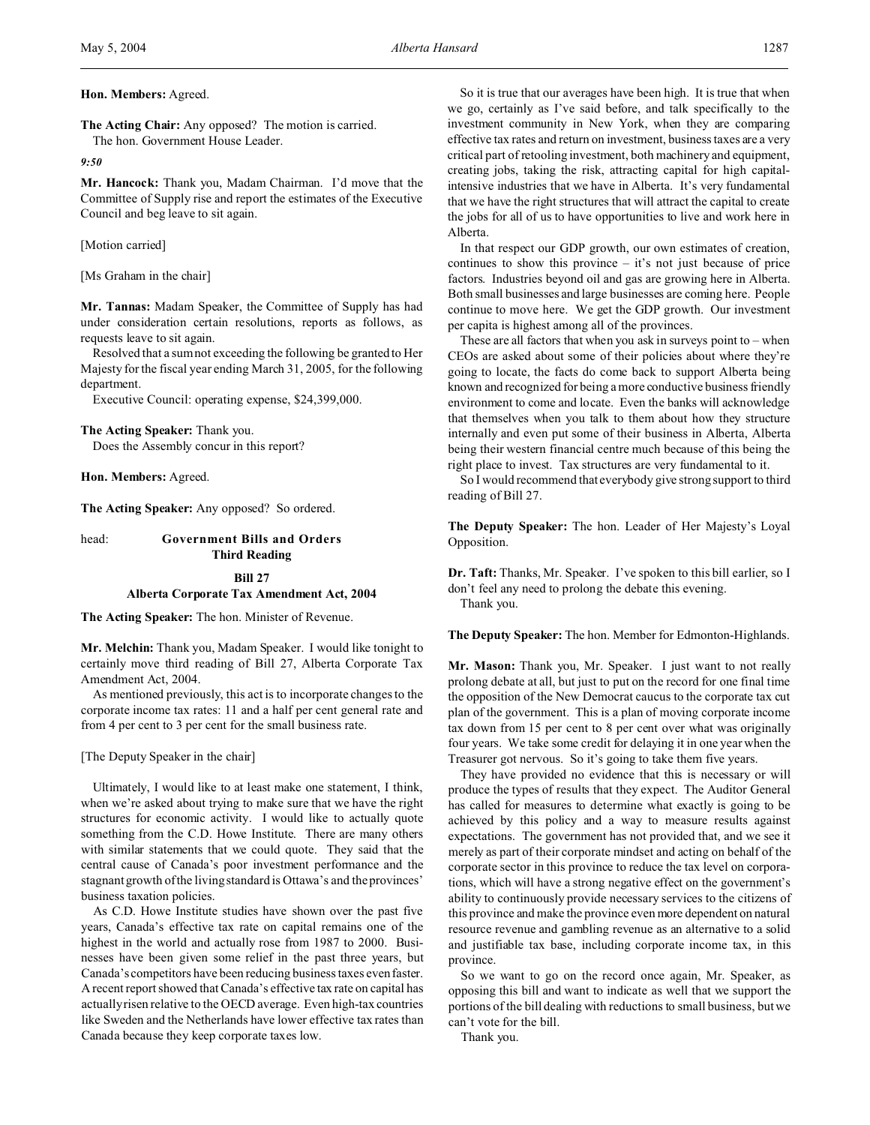**The Acting Chair:** Any opposed? The motion is carried. The hon. Government House Leader.

*9:50*

**Mr. Hancock:** Thank you, Madam Chairman. I'd move that the Committee of Supply rise and report the estimates of the Executive Council and beg leave to sit again.

[Motion carried]

[Ms Graham in the chair]

**Mr. Tannas:** Madam Speaker, the Committee of Supply has had under consideration certain resolutions, reports as follows, as requests leave to sit again.

Resolved that a sum not exceeding the following be granted to Her Majesty for the fiscal year ending March 31, 2005, for the following department.

Executive Council: operating expense, \$24,399,000.

### **The Acting Speaker:** Thank you.

Does the Assembly concur in this report?

**Hon. Members:** Agreed.

**The Acting Speaker:** Any opposed? So ordered.

# head: **Government Bills and Orders Third Reading**

## **Bill 27**

# **Alberta Corporate Tax Amendment Act, 2004**

**The Acting Speaker:** The hon. Minister of Revenue.

**Mr. Melchin:** Thank you, Madam Speaker. I would like tonight to certainly move third reading of Bill 27, Alberta Corporate Tax Amendment Act, 2004.

As mentioned previously, this act is to incorporate changes to the corporate income tax rates: 11 and a half per cent general rate and from 4 per cent to 3 per cent for the small business rate.

[The Deputy Speaker in the chair]

Ultimately, I would like to at least make one statement, I think, when we're asked about trying to make sure that we have the right structures for economic activity. I would like to actually quote something from the C.D. Howe Institute. There are many others with similar statements that we could quote. They said that the central cause of Canada's poor investment performance and the stagnant growth of the living standard is Ottawa's and the provinces' business taxation policies.

As C.D. Howe Institute studies have shown over the past five years, Canada's effective tax rate on capital remains one of the highest in the world and actually rose from 1987 to 2000. Businesses have been given some relief in the past three years, but Canada's competitors have been reducing business taxes even faster. A recent report showed that Canada's effective tax rate on capital has actually risen relative to the OECD average. Even high-tax countries like Sweden and the Netherlands have lower effective tax rates than Canada because they keep corporate taxes low.

So it is true that our averages have been high. It is true that when we go, certainly as I've said before, and talk specifically to the investment community in New York, when they are comparing effective tax rates and return on investment, business taxes are a very critical part of retooling investment, both machinery and equipment, creating jobs, taking the risk, attracting capital for high capitalintensive industries that we have in Alberta. It's very fundamental that we have the right structures that will attract the capital to create the jobs for all of us to have opportunities to live and work here in Alberta.

In that respect our GDP growth, our own estimates of creation, continues to show this province – it's not just because of price factors. Industries beyond oil and gas are growing here in Alberta. Both small businesses and large businesses are coming here. People continue to move here. We get the GDP growth. Our investment per capita is highest among all of the provinces.

These are all factors that when you ask in surveys point to  $-$  when CEOs are asked about some of their policies about where they're going to locate, the facts do come back to support Alberta being known and recognized for being a more conductive business friendly environment to come and locate. Even the banks will acknowledge that themselves when you talk to them about how they structure internally and even put some of their business in Alberta, Alberta being their western financial centre much because of this being the right place to invest. Tax structures are very fundamental to it.

So I would recommend that everybody give strong support to third reading of Bill 27.

**The Deputy Speaker:** The hon. Leader of Her Majesty's Loyal Opposition.

**Dr. Taft:** Thanks, Mr. Speaker. I've spoken to this bill earlier, so I don't feel any need to prolong the debate this evening. Thank you.

**The Deputy Speaker:** The hon. Member for Edmonton-Highlands.

**Mr. Mason:** Thank you, Mr. Speaker. I just want to not really prolong debate at all, but just to put on the record for one final time the opposition of the New Democrat caucus to the corporate tax cut plan of the government. This is a plan of moving corporate income tax down from 15 per cent to 8 per cent over what was originally four years. We take some credit for delaying it in one year when the Treasurer got nervous. So it's going to take them five years.

They have provided no evidence that this is necessary or will produce the types of results that they expect. The Auditor General has called for measures to determine what exactly is going to be achieved by this policy and a way to measure results against expectations. The government has not provided that, and we see it merely as part of their corporate mindset and acting on behalf of the corporate sector in this province to reduce the tax level on corporations, which will have a strong negative effect on the government's ability to continuously provide necessary services to the citizens of this province and make the province even more dependent on natural resource revenue and gambling revenue as an alternative to a solid and justifiable tax base, including corporate income tax, in this province.

So we want to go on the record once again, Mr. Speaker, as opposing this bill and want to indicate as well that we support the portions of the bill dealing with reductions to small business, but we can't vote for the bill.

Thank you.